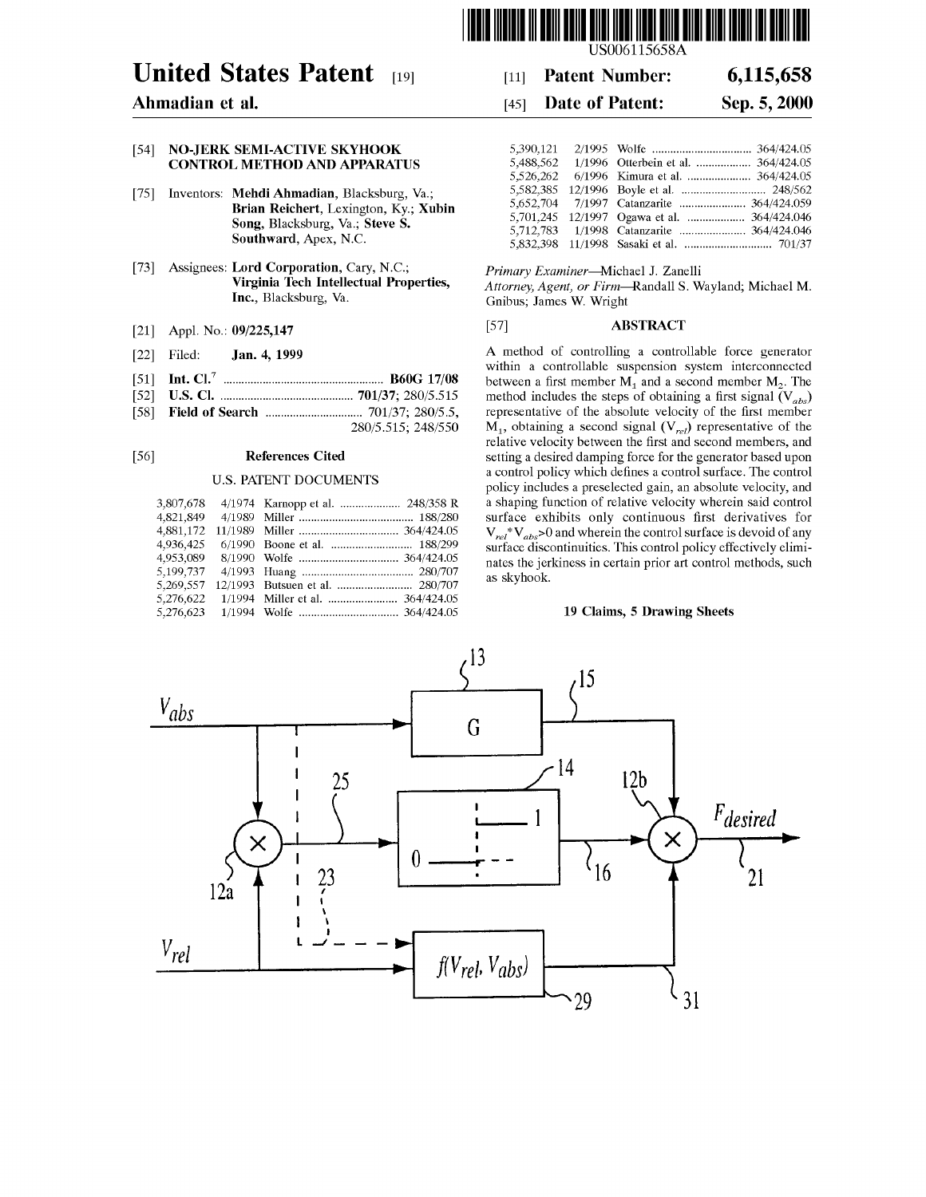

# **United States Patent** [19]

## Ahmadian et al.

### [54] NO-JERK SEMI-ACTIVE SKYHOOK **CONTROL METHOD AND APPARATUS**

- [75] Inventors: Mehdi Ahmadian, Blacksburg, Va.; Brian Reichert, Lexington, Ky.; Xubin Song, Blacksburg, Va.; Steve S. Southward, Apex, N.C.
- Assignees: Lord Corporation, Cary, N.C.;  $[73]$ Virginia Tech Intellectual Properties, Inc., Blacksburg, Va.
- Appl. No.: 09/225,147  $[21]$
- Jan. 4, 1999 Filed:  $[22]$
- $\lceil 51 \rceil$
- $\lceil 52 \rceil$
- [58]
	- 280/5.515; 248/550

#### $[56]$ **References Cited**

### **U.S. PATENT DOCUMENTS**

| 3,807,678 | 4/1974 Karnopp et al.  248/358 R |
|-----------|----------------------------------|
| 4,821,849 |                                  |
| 4,881,172 |                                  |
| 4.936,425 |                                  |
| 4,953,089 |                                  |
| 5,199,737 |                                  |
| 5,269,557 |                                  |
| 5,276,622 | 1/1994 Miller et al.  364/424.05 |
|           |                                  |

LISO06115658A

#### 6,115,658 **Patent Number:**  $[11]$

#### **Date of Patent:** Sep. 5, 2000  $[45]$

| 5,390,121 |                                             |
|-----------|---------------------------------------------|
| 5.488.562 | 1/1996 Otterbein et al.  364/424.05         |
| 5,526,262 | 6/1996 Kimura et al.  364/424.05            |
| 5,582,385 |                                             |
|           |                                             |
|           | 5,701,245 12/1997 Ogawa et al.  364/424.046 |
| 5,712,783 | 1/1998 Catanzarite  364/424.046             |
|           |                                             |

Primary Examiner-Michael J. Zanelli

Attorney, Agent, or Firm-Randall S. Wayland; Michael M. Gnibus; James W. Wright

#### **ABSTRACT**  $[57]$

A method of controlling a controllable force generator within a controllable suspension system interconnected between a first member  $M_1$  and a second member  $M_2$ . The method includes the steps of obtaining a first signal  $(V_{abs})$ representative of the absolute velocity of the first member  $M_1$ , obtaining a second signal ( $V_{rel}$ ) representative of the relative velocity between the first and second members, and setting a desired damping force for the generator based upon a control policy which defines a control surface. The control policy includes a preselected gain, an absolute velocity, and a shaping function of relative velocity wherein said control surface exhibits only continuous first derivatives for  $V_{rel}$ <sup>\*</sup> $V_{abs}$ >0 and wherein the control surface is devoid of any surface discontinuities. This control policy effectively eliminates the jerkiness in certain prior art control methods, such as skyhook.

### 19 Claims, 5 Drawing Sheets

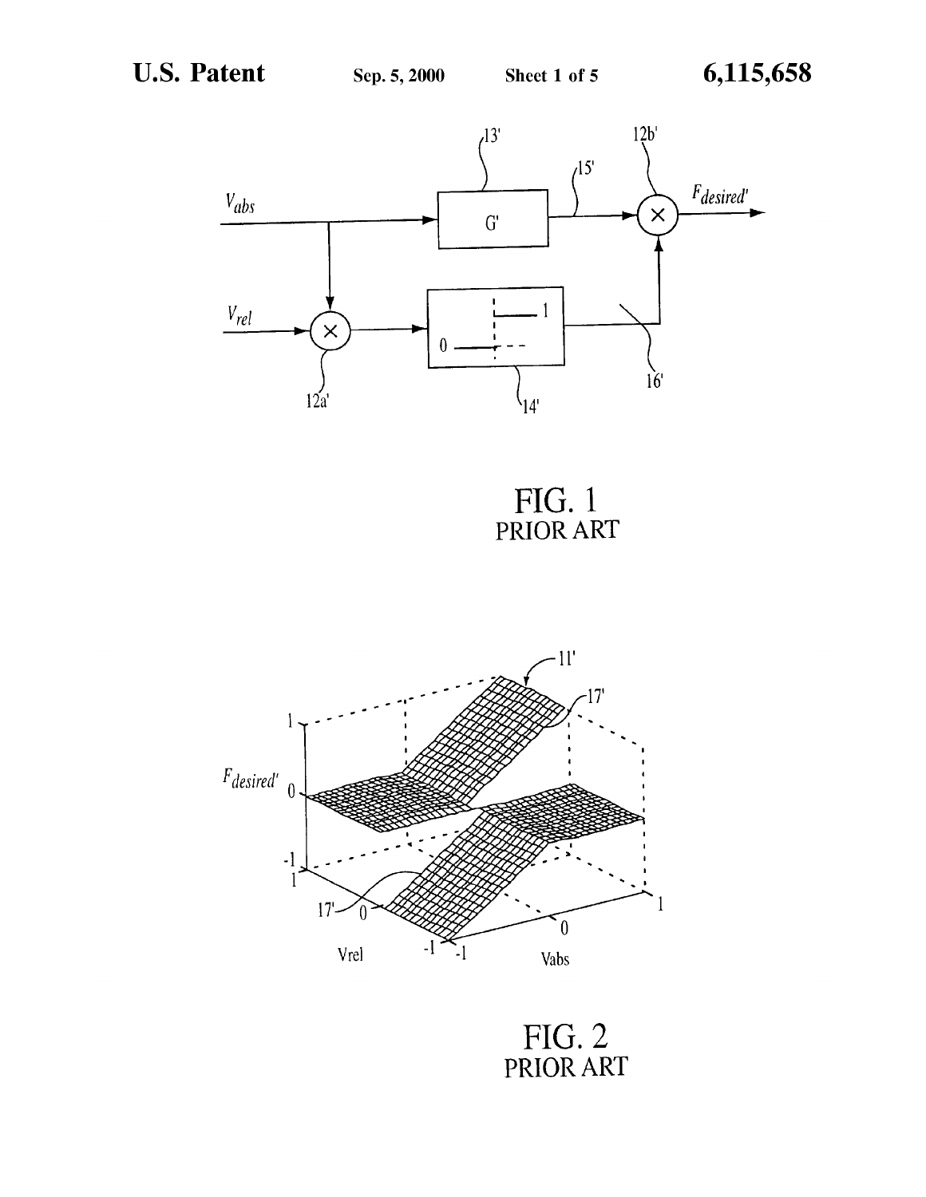

FIG. 1<br>PRIOR ART



FIG. 2<br>PRIOR ART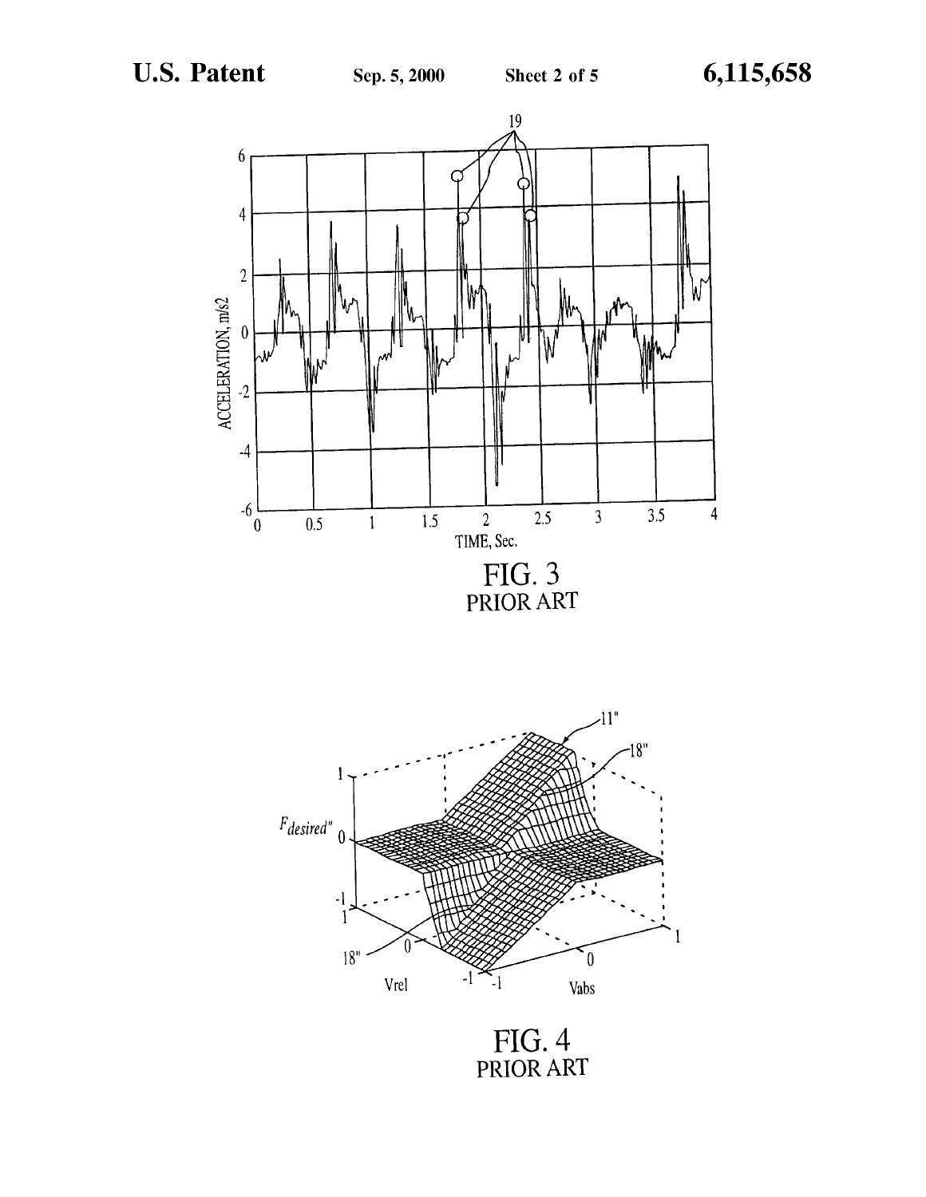



FIG. 4 PRIOR ART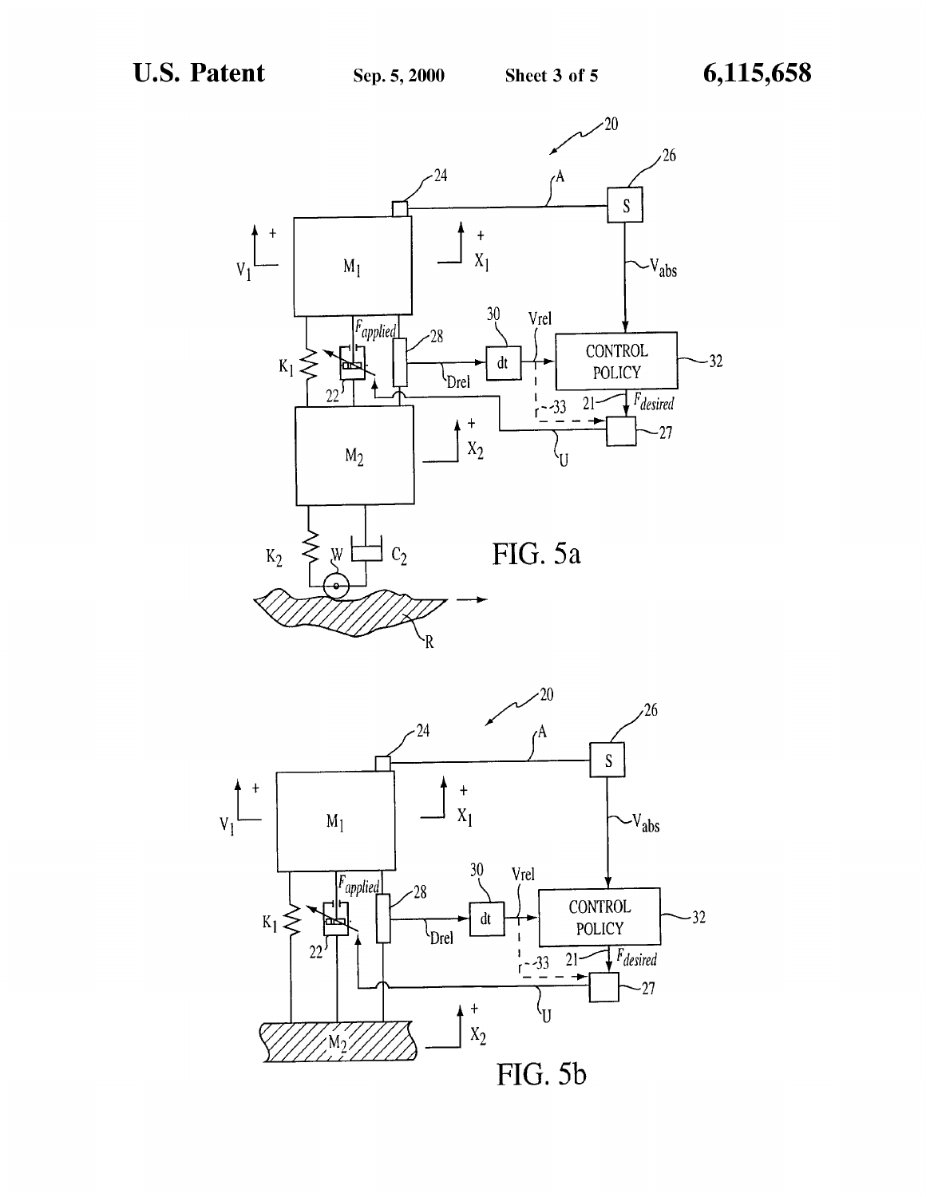

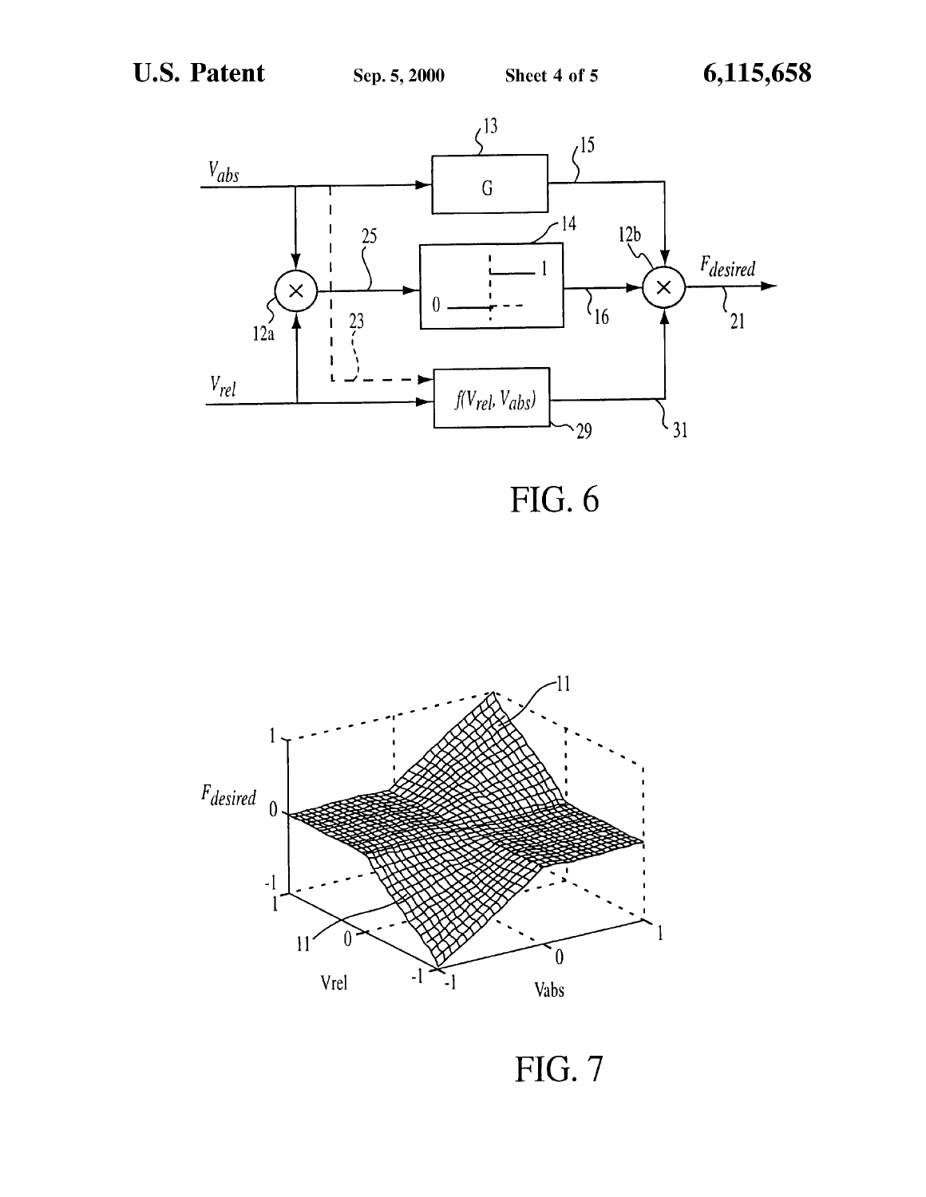

 $FIG. 6$ 



FIG. 7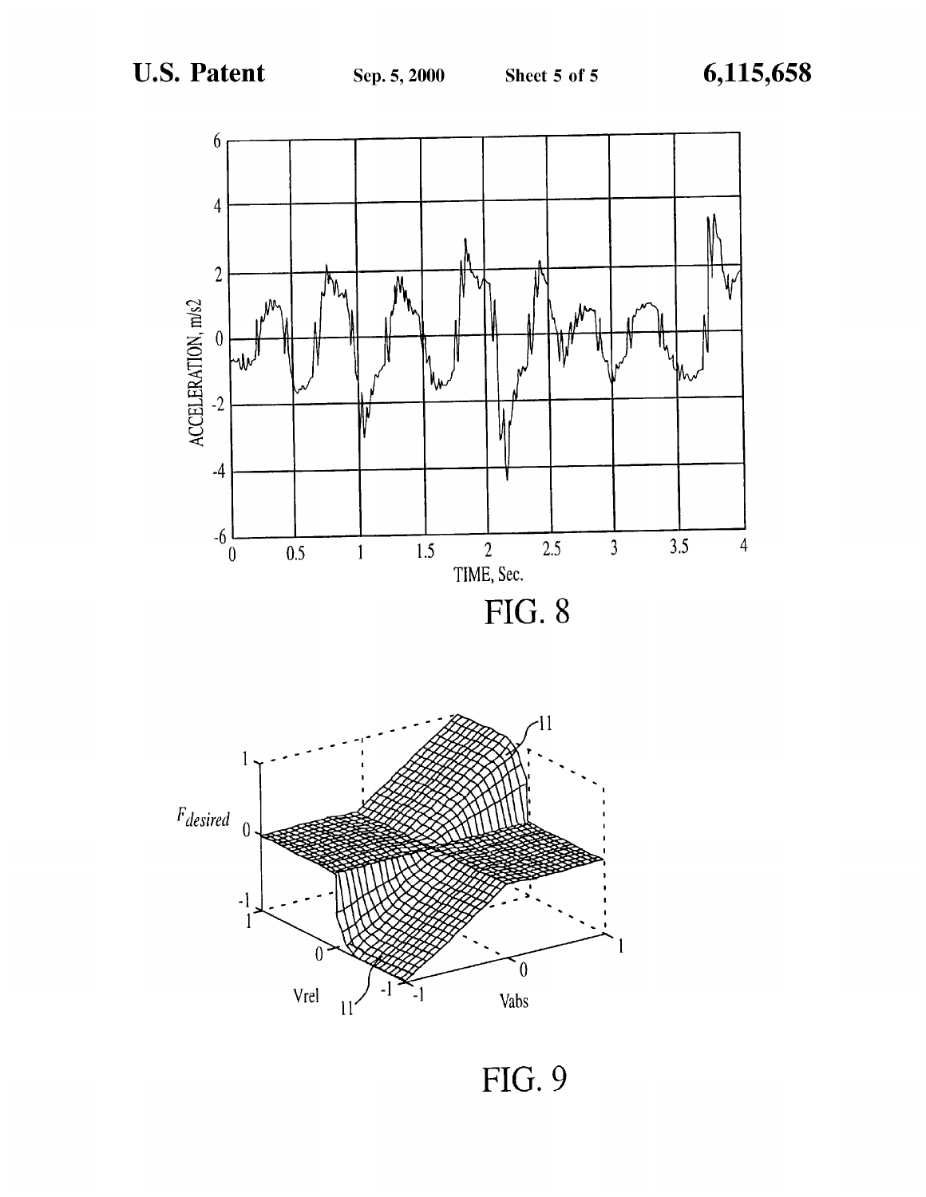

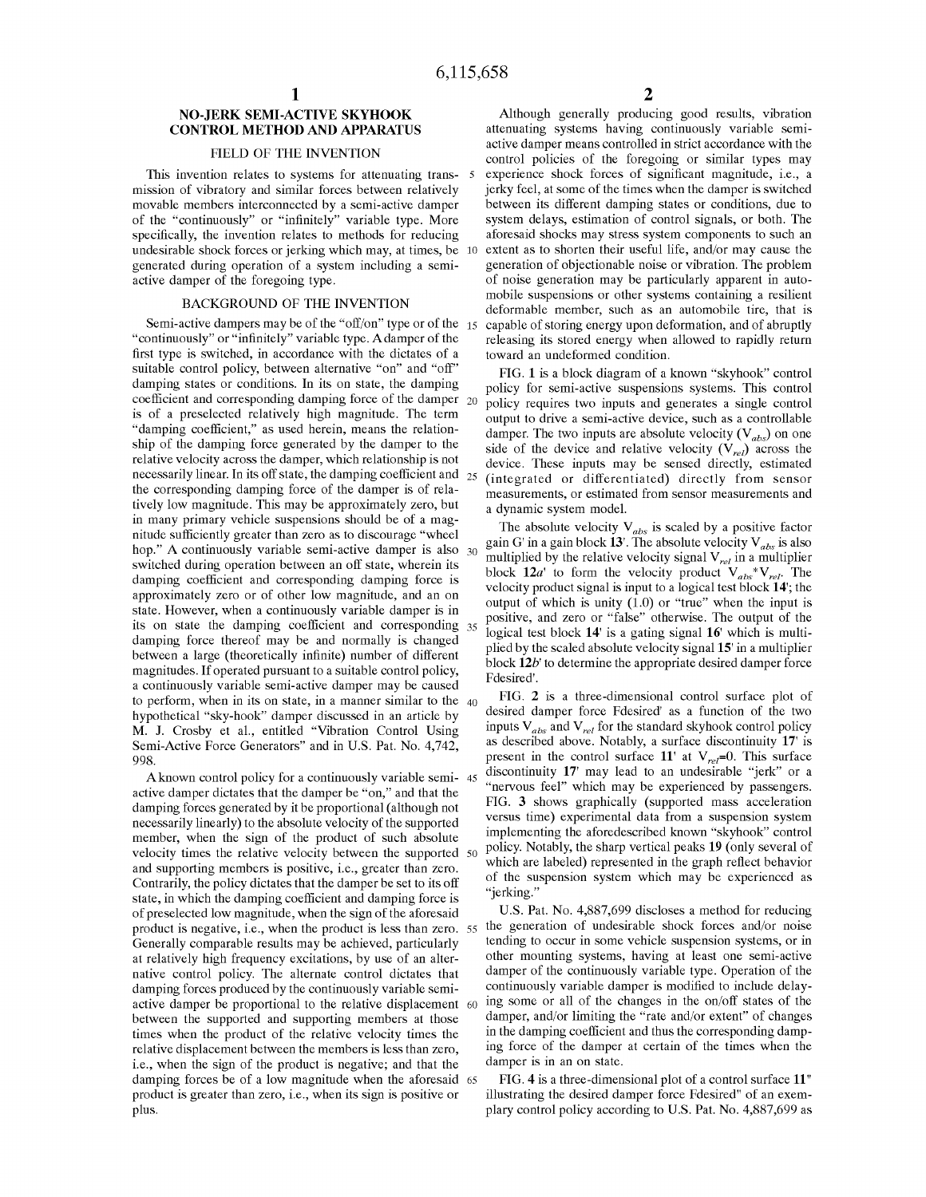-5

### NO-JERK SEMI-ACTIVE SKYHOOK CONTROL METHOD AND APPARATUS

#### FIELD OF THE INVENTION

This invention relates to systems for attenuating transmission of vibratory and similar forces between relatively movable members interconnected by a semi-active damper of the "continuously" or "infinitely" variable type. More specifically, the invention relates to methods for reducing undesirable shock forces or jerking which may, at times, be 10 generated during operation of a system including a semiactive damper of the foregoing type.

#### BACKGROUND OF THE INVENTION

"continuously" or "infinitely" variable type. Adamper of the first type is switched, in accordance with the dictates of a suitable control policy, between alternative "on" and "off" damping states or conditions. In its on state, the damping coefficient and corresponding damping force of the damper  $_{20}$ is of a preselected relatively high magnitude. The term "damping coefficient," as used herein, means the relationship of the damping force generated by the damper to the relative velocity across the damper, which relationship is not necessarily linear. In its off state, the damping coefficient and  $_{25}$ the corresponding damping force of the damper is of relatively low magnitude. This may be approximately zero, but in many primary vehicle suspensions should be of <sup>a</sup> magnitude sufficiently greater than zero as to discourage "wheel nitude suinciently greater than zero as to discourage "wheel<br>hop." A continuously variable semi-active damper is also 30 switched during operation between an off state, wherein its damping coefficient and corresponding damping force is approximately zero or of other low magnitude, and an on state. However, when <sup>a</sup> continuously variable damper is in its on state the damping coefficient and corresponding 35 damping force thereof may be and normally is changed between a large (theoretically infinite) number of different magnitudes. If operated pursuant to a suitable control policy, <sup>a</sup> continuously variable semi-active damper may be caused to perform, when in its on state, in a manner similar to the  $_{40}$ hypothetical "sky-hook" damper discussed in an article by M. J. Crosby et al., entitled "Vibration Control Using Semi-Active Force Generators" and in U.S. Pat. No. 4,742, 998.

Aknown control policy for <sup>a</sup> continuously variable semi-45 active damper dictates that the damper be "on," and that the damping forces generated by it be proportional (although not necessarily linearly) to the absolute velocity of the supported member, when the sign of the product of such absolute velocity times the relative velocity between the supported 50 and supporting members is positive, i.e., greater than zero. Contrarily, the policy dictates that the damper be set to its off state, in which the damping coefficient and damping force is of preselected low magnitude, when the sign of the aforesaid product is negative, i.e., when the product is less than zero. 55 the generation of undesirable shock forces and/or noise Generally comparable results may be achieved, particularly at relatively high frequency excitations, by use of an alternative control policy. The alternate control dictates that damping forces produced by the continuously variable semiactive damper be proportional to the relative displacement 60 between the supported and supporting members at those times when the product of the relative velocity times the relative displacement between the members is less than zero, i.e., when the sign of the product is negative; and that the damping forces be of a low magnitude when the aforesaid  $\epsilon$ product is greater than zero, i.e., when its sign is positive or plus.

Semi-active dampers may be of the "off/on" type or of the 15 capable of storing energy upon deformation, and of abruptly Although generally producing good results, vibration attenuating systems having continuously variable semiactive damper means controlled in strict accordance with the control policies of the foregoing or similar types may experience shock forces of significant magnitude, i.e., a jerky feel, at some of the times when the damper is switched between its different damping states or conditions, due to system delays, estimation of control signals, or both. The aforesaid shocks may stress system components to such an extent as to shorten their useful life, and/or may cause the generation of objectionable noise or vibration. The problem of noise generation may be particularly apparent in automobile suspensions or other systems containing a resilient deformable member, such as an automobile tire, that is releasing its stored energy when allowed to rapidly return toward an undeformed condition.

> FIG. 1 is <sup>a</sup> block diagram of <sup>a</sup> known "skyhook" control policy for semi-active suspensions systems. This control policy requires two inputs and generates a single control output to drive a semi-active device, such as a controllable damper. The two inputs are absolute velocity  $(V_{abs})$  on one side of the device and relative velocity  $(V_{rel})$  across the device. These inputs may be sensed directly, estimated (integrated or differentiated) directly from sensor measurements, or estimated from sensor measurements and a dynamic system model.

> The absolute velocity  $V_{abs}$  is scaled by a positive factor gain G' in a gain block 13'. The absolute velocity  $V_{abs}$  is also multiplied by the relative velocity signal  $V_{rel}$  in a multiplier block  $12a'$  to form the velocity product  $V_{abs} * V_{rel}$ . The velocity product signal is input to a logical test block 14'; the output of which is unity (1.0) or "true" when the input is positive, and zero or "false" otherwise. The output of the logical test block 14' is a gating signal 16' which is multiplied by the scaled absolute velocity signal 15' in a multiplier block  $12b$ ' to determine the appropriate desired damper force Fdesired'.

> FIG. 2 is a three-dimensional control surface plot of desired damper force Fdesired' as a function of the two inputs  $V_{abs}$  and  $V_{rel}$  for the standard skyhook control policy as described above. Notably, a surface discontinuity 17' is present in the control surface 11' at  $V_{rel}=0$ . This surface discontinuity 17' may lead to an undesirable "jerk" or a "nervous feel" which may be experienced by passengers. FIG. 3 shows graphically (supported mass acceleration versus time) experimental data from a suspension system implementing the aforedescribed known "skyhook" control policy. Notably, the sharp vertical peaks 19 (only several of which are labeled) represented in the graph reflect behavior of the suspension system which may be experienced as "jerking."

> US. Pat. No. 4,887,699 discloses <sup>a</sup> method for reducing tending to occur in some vehicle suspension systems, or in other mounting systems, having at least one semi-active damper of the continuously variable type. Operation of the continuously variable damper is modified to include delaying some or all of the changes in the on/off states of the damper, and/or limiting the "rate and/or extent" of changes in the damping coefficient and thus the corresponding damping force of the damper at certain of the times when the damper is in an on state.

> FIG. 4 is a three-dimensional plot of a control surface 11" illustrating the desired damper force Fdesired" of an exemplary control policy according to US. Pat. No. 4,887,699 as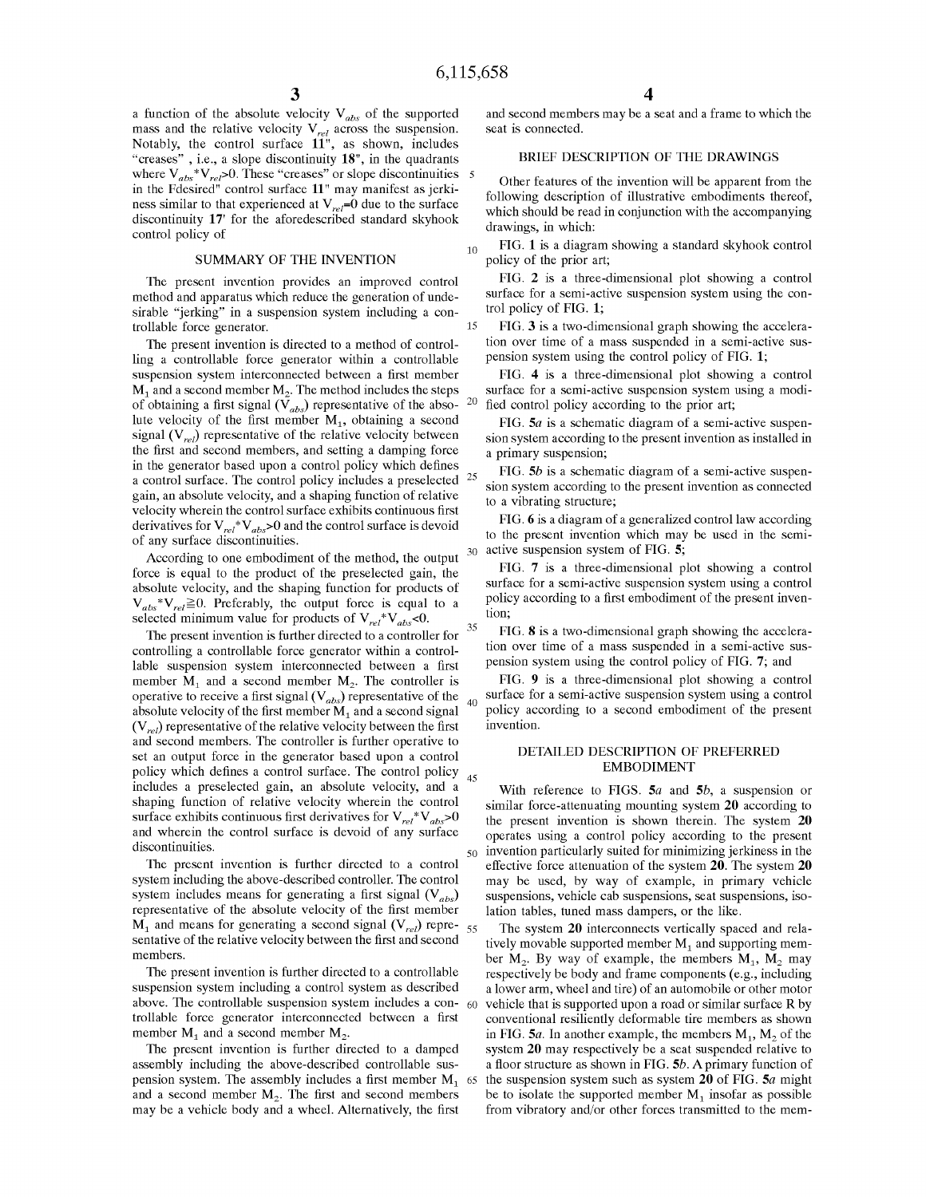15

20

30

60

a function of the absolute velocity  $V_{ab}$  of the supported mass and the relative velocity  $V_{\rm c}$ , across the suspension. Notably, the control surface 11", as shown, includes "creases", i.e., a slope discontinuity 18", in the quadrants where  $V_{\text{max}}*V_{\text{max}}$  O. These "creases" or slope discontinuities in the Fdesired" control surface 11" may manifest as jerkiness similar to that experienced at  $V_{rel}=0$  due to the surface discontinuity 17' for the aforedescribed standard skyhook control policy of

#### SUMMARY OF THE INVENTION

The present invention provides an improved control method and apparatus which reduce the generation of undesirable "jerking" in a suspension system including a controllable force generator.

The present invention is directed to a method of controlling a controllable force generator within a controllable suspension system interconnected between <sup>a</sup> first member  $M_1$  and a second member  $M_2$ . The method includes the steps of obtaining a first signal ( $\tilde{V}_{abs}$ ) representative of the absolute velocity of the first member  $M_1$ , obtaining a second signal  $(V_{rel})$  representative of the relative velocity between the first and second members, and setting a damping force in the generator based upon a control policy which defines a control surface. The control policy includes a preselected  $25$ gain, an absolute velocity, and a shaping function of relative velocity wherein the control surface exhibits continuous first derivatives for  $V_{rel}^*V_{abs} > 0$  and the control surface is devoid of any surface discontinuities.

According to one embodiment of the method, the output force is equal to the product of the preselected gain, the absolute velocity, and the shaping function for products of  $V_{abs} * V_{rel} \ge 0$ . Preferably, the output force is equal to a selected minimum value for products of  $V_{rel}^*V_{abs}$ <0.

The present invention is further directed to a controller for controlling a controllable force generator within a controllable suspension system interconnected between a first member  $M_1$  and a second member  $M_2$ . The controller is operative to receive a first signal  $(V_{abs})$  representative of the absolute velocity of the first member  $M_1$  and a second signal  $(V_{rel})$  representative of the relative velocity between the first and second members. The controller is further operative to set an output force in the generator based upon a control policy which defines a control surface. The control policy <sub>45</sub> includes a preselected gain, an absolute velocity, and a shaping function of relative velocity wherein the control surface exhibits continuous first derivatives for  $V_{rel}^*V_{abs} > 0$ and wherein the control surface is devoid of any surface discontinuities. 35 40

The present invention is further directed to a control system including the above-described controller. The control system includes means for generating a first signal  $(V_{abs})$ representative of the absolute velocity of the first member  $M_1$  and means for generating a second signal  $(V_{rel})$  representative of the relative velocity between the first and second members. 55

The present invention is further directed to a controllable suspension system including a control system as described above. The controllable suspension system includes a controllable force generator interconnected between a first member  $M_1$  and a second member  $M_2$ .

The present invention is further directed to a damped assembly including the above-described controllable suspension system. The assembly includes a first member  $M_1$ and a second member  $M<sub>2</sub>$ . The first and second members may be <sup>a</sup> vehicle body and <sup>a</sup> wheel. Alternatively, the first 65

and second members may be <sup>a</sup> seat and <sup>a</sup> frame to which the seat is connected.

### BRIEF DESCRIPTION OF THE DRAWINGS

Other features of the invention will be apparent from the following description of illustrative embodiments thereof, which should be read in conjunction with the accompanying drawings, in which:

10 FIG. 1 is a diagram showing a standard skyhook control policy of the prior art;

FIG. 2 is a three-dimensional plot showing a control surface for a semi-active suspension system using the control policy of FIG. 1;

FIG. 3 is a two-dimensional graph showing the acceleration over time of a mass suspended in a semi-active suspension system using the control policy of FIG. 1;

FIG. 4 is a three-dimensional plot showing a control surface for a semi-active suspension system using a modified control policy according to the prior art;

FIG.  $5a$  is a schematic diagram of a semi-active suspension system according to the present invention as installed in a primary suspension;

FIG. 5b is a schematic diagram of a semi-active suspension system according to the present invention as connected to a vibrating structure;

FIG. 6 is a diagram of a generalized control law according to the present invention which may be used in the semiactive suspension system of FIG. 5;

FIG. 7 is a three-dimensional plot showing a control surface for a semi-active suspension system using a control policy according to a first embodiment of the present invention;

FIG. 8 is a two-dimensional graph showing the acceleration over time of a mass suspended in a semi-active suspension system using the control policy of FIG. 7; and

FIG. 9 is a three-dimensional plot showing a control surface for a semi-active suspension system using a control policy according to a second embodiment of the present invention.

### DETAILED DESCRIPTION OF PREFERRED EMBODIMENT

<sub>50</sub> invention particularly suited for minimizing jerkiness in the With reference to FIGS.  $5a$  and  $5b$ , a suspension or similar force-attenuating mounting system 20 according to the present invention is shown therein. The system 20 operates using a control policy according to the present effective force attenuation of the system 20. The system 20 may be used, by way of example, in primary vehicle suspensions, vehicle cab suspensions, seat suspensions, isolation tables, tuned mass dampers, or the like.

The system 20 interconnects vertically spaced and relatively movable supported member  $M_1$  and supporting member  $M_2$ . By way of example, the members  $M_1$ ,  $M_2$  may respectively be body and frame components (e.g., including a lower arm, wheel and tire) of an automobile or other motor vehicle that is supported upon <sup>a</sup> road or similar surface R by conventional resiliently deformable tire members as shown in FIG.  $5a$ . In another example, the members  $M_1$ ,  $M_2$  of the system 20 may respectively be <sup>a</sup> seat suspended relative to a floor structure as shown in FIG. 5b. Aprimary function of the suspension system such as system  $20$  of FIG.  $5a$  might be to isolate the supported member  $M_1$  insofar as possible from vibratory and/or other forces transmitted to the mem-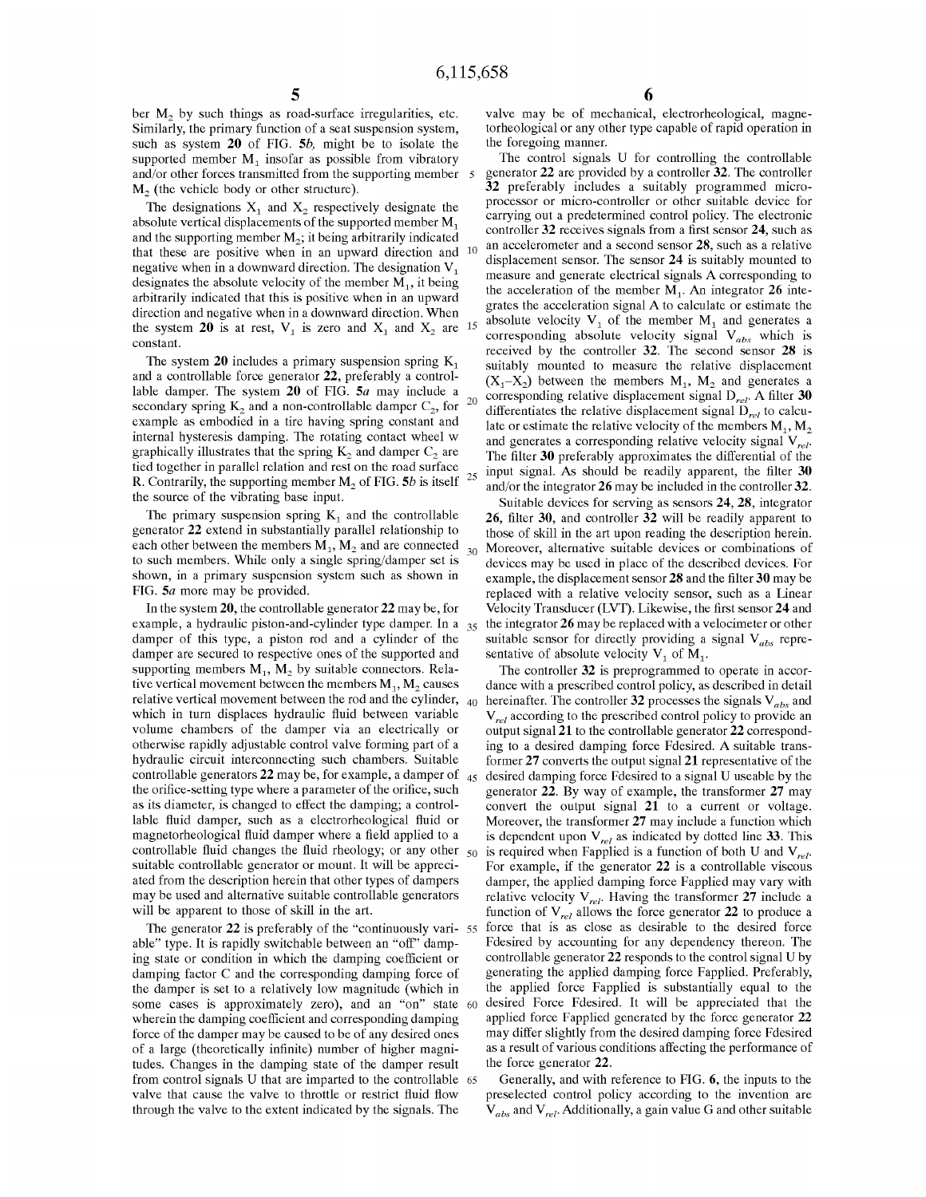10

 $\overline{5}$ 

30

ber  $M<sub>2</sub>$  by such things as road-surface irregularities, etc. Similarly, the primary function of a seat suspension system, such as system 20 of FIG. 5b, might be to isolate the supported member  $M_1$  insofar as possible from vibratory and/or other forces transmitted from the supporting member  $M<sub>2</sub>$  (the vehicle body or other structure).

The designations  $X_1$  and  $X_2$  respectively designate the absolute vertical displacements of the supported member M1 and the supporting member  $M_2$ ; it being arbitrarily indicated that these are positive when in an upward direction and negative when in a downward direction. The designation  $V_1$ designates the absolute velocity of the member  $M_1$ , it being arbitrarily indicated that this is positive when in an upward direction and negative when in <sup>a</sup> downward direction. When the system 20 is at rest, V<sub>1</sub> is zero and X<sub>1</sub> and X<sub>2</sub> are <sup>15</sup> constant.

The system 20 includes a primary suspension spring  $K_1$ and a controllable force generator 22, preferably a controllable damper. The system  $20$  of FIG.  $5a$  may include a secondary spring  $K_2$  and a non-controllable damper  $C_2$ , for example as embodied in a tire having spring constant and internal hysteresis damping. The rotating contact wheel w graphically illustrates that the spring  $K<sub>2</sub>$  and damper  $C<sub>2</sub>$  are tied together in parallel relation and rest on the road surface R. Contrarily, the supporting member  $M_2$  of FIG. 5b is itself  $^{25}$ the source of the vibrating base input. 20

The primary suspension spring  $K_1$  and the controllable generator 22 extend in substantially parallel relationship to each other between the members  $M_1$ ,  $M_2$  and are connected to such members. While only a single spring/damper set is shown, in a primary suspension system such as shown in FIG. 5a more may be provided.

In the system 20, the controllable generator 22 may be, for example, a hydraulic piston-and-cylinder type damper. In a  $_{35}$  the integrator 26 may be replaced with a velocimeter or other damper of this type, a piston rod and a cylinder of the damper are secured to respective ones of the supported and supporting members  $M_1$ ,  $M_2$  by suitable connectors. Relative vertical movement between the members  $M_1$ ,  $M_2$  causes relative vertical movement between the rod and the cylinder, which in turn displaces hydraulic fluid between variable volume chambers of the damper via an electrically or otherwise rapidly adjustable control valve forming part of a hydraulic circuit interconnecting such chambers. Suitable controllable generators 22 may be, for example, <sup>a</sup> damper of 45 desired damping force Fdesired to <sup>a</sup> signal U useable by the the orifice-setting type where a parameter of the orifice, such as its diameter, is changed to effect the damping; a controllable fluid damper, such as a electrorheological fluid or magnetorheological fluid damper where a field applied to a controllable fluid changes the fluid rheology; or any other 50 suitable controllable generator or mount. It will be appreciated from the description herein that other types of dampers may be used and alternative suitable controllable generators will be apparent to those of skill in the art. 40

The generator 22 is preferably of the "continuously vari-  $55$ able" type. It is rapidly switchable between an "off" damping state or condition in which the damping coefficient or damping factor C and the corresponding damping force of the damper is set to a relatively low magnitude (which in some cases is approximately zero), and an "on" state wherein the damping coefficient and corresponding damping force of the damper may be caused to be of any desired ones of a large (theoretically infinite) number of higher magnitudes. Changes in the damping state of the damper result from control signals U that are imparted to the controllable 65 valve that cause the valve to throttle or restrict fluid flow through the valve to the extent indicated by the signals. The 60

valve may be of mechanical, electrorheological, magnetorheological or any other type capable of rapid operation in the foregoing manner.

The control signals U for controlling the controllable generator 22 are provided by a controller 32. The controller 32 preferably includes a suitably programmed microprocessor or micro-controller or other suitable device for carrying out a predetermined control policy. The electronic controller 32 receives signals from a first sensor 24, such as an accelerometer and a second sensor 28, such as a relative displacement sensor. The sensor 24 is suitably mounted to measure and generate electrical signals A corresponding to the acceleration of the member  $M_1$ . An integrator 26 integrates the acceleration signal A to calculate or estimate the absolute velocity  $V_1$  of the member  $M_1$  and generates a corresponding absolute velocity signal  $V_{abs}$  which is received by the controller 32. The second sensor 28 is suitably mounted to measure the relative displacement  $(X_1-X_2)$  between the members  $M_1$ ,  $M_2$  and generates a corresponding relative displacement signal  $D_{rel}$ . A filter 30 differentiates the relative displacement signal  $D_{rel}$  to calculate or estimate the relative velocity of the members  $M_1, M_2$ and generates a corresponding relative velocity signal  $V_{rel}$ . The filter 30 preferably approximates the differential of the input signal. As should be readily apparent, the filter 30 and/or the integrator 26 may be included in the controller 32.

Suitable devices for serving as sensors 24, 28, integrator 26, filter 30, and controller 32 will be readily apparent to those of skill in the art upon reading the description herein. Moreover, alternative suitable devices or combinations of devices may be used in place of the described devices. For example, the displacement sensor 28 and the filter 30 may be replaced with a relative velocity sensor, such as a Linear Velocity Transducer (LVT). Likewise, the first sensor 24 and suitable sensor for directly providing a signal  $V_{abs}$  representative of absolute velocity  $V_1$  of  $M_1$ .

The controller 32 is preprogrammed to operate in accordance with a prescribed control policy, as described in detail hereinafter. The controller 32 processes the signals  $V_{abs}$  and  $V_{rel}$  according to the prescribed control policy to provide an output signal 21 to the controllable generator 22 corresponding to <sup>a</sup> desired damping force Fdesired. A suitable transformer 27 converts the output signal 21 representative of the generator 22. By way of example, the transformer 27 may convert the output signal 21 to a current or voltage. Moreover, the transformer 27 may include <sup>a</sup> function which is dependent upon  $V_{rel}$  as indicated by dotted line 33. This is required when Fapplied is a function of both U and  $V_{rel}$ . For example, if the generator 22 is a controllable viscous damper, the applied damping force Fapplied may vary with relative velocity  $V_{rel}$ . Having the transformer 27 include a function of  $V_{rel}$  allows the force generator 22 to produce a force that is as close as desirable to the desired force Fdesired by accounting for any dependency thereon. The controllable generator 22 responds to the control signal U by generating the applied damping force Fapplied. Preferably, the applied force Fapplied is substantially equal to the desired Force Fdesired. It will be appreciated that the applied force Fapplied generated by the force generator 22 may differ slightly from the desired damping force Fdesired as a result of various conditions affecting the performance of the force generator 22.

Generally, and with reference to FIG. 6, the inputs to the preselected control policy according to the invention are  $V_{abs}$  and  $V_{rel}$ . Additionally, a gain value G and other suitable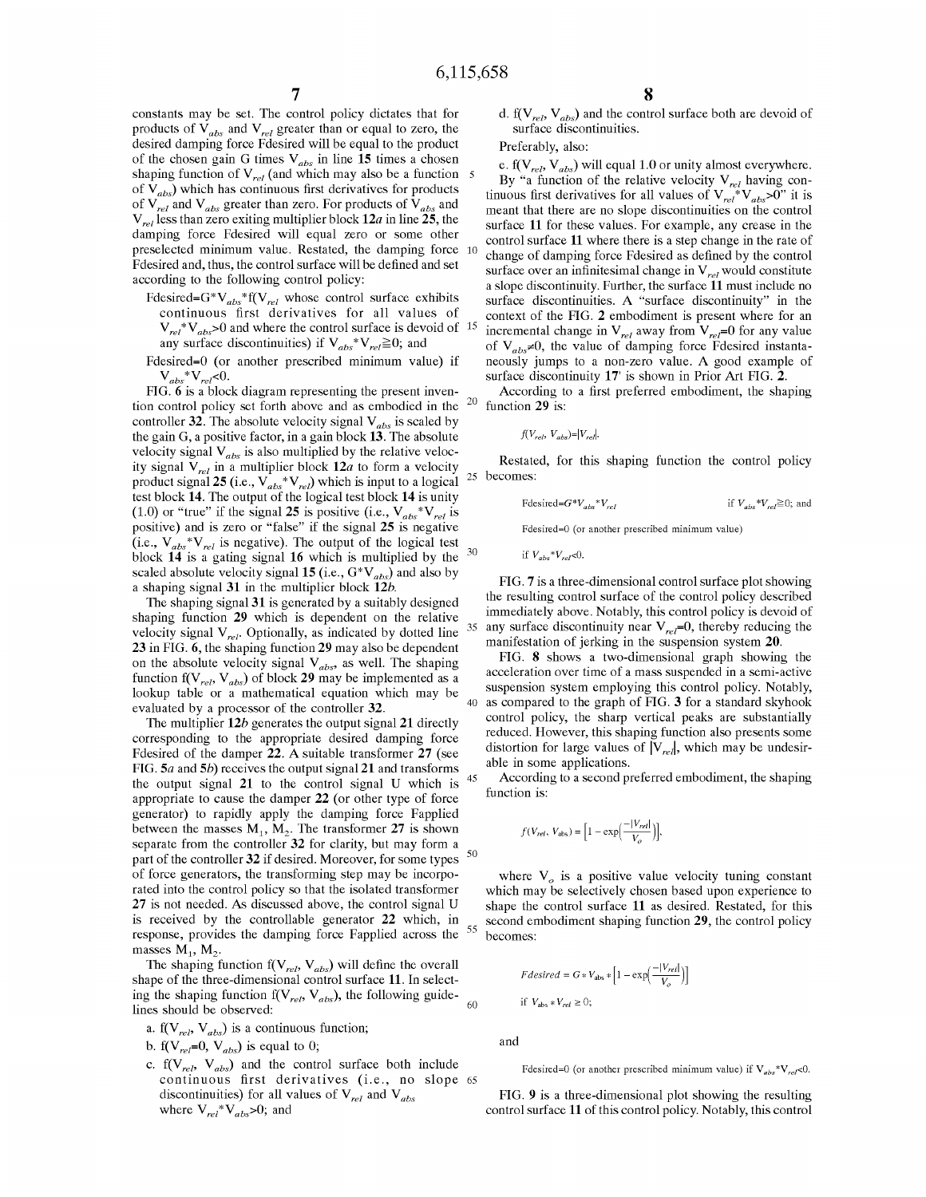constants may be set. The control policy dictates that for products of  $V_{abs}$  and  $V_{rel}$  greater than or equal to zero, the desired damping force Fdesired will be equal to the product of the chosen gain G times  $V_{abs}$  in line 15 times a chosen shaping function of  $V_{rel}$  (and which may also be a function 5 of  $V_{abs}$ ) which has continuous first derivatives for products of  $V_{rel}$  and  $V_{abs}$  greater than zero. For products of  $V_{abs}$  and  $V_{rel}$  less than zero exiting multiplier block 12*a* in line 25, the damping force Fdesired will equal zero or some other preselected minimum value. Restated, the damping force 10 Fdesired and, thus, the control surface will be defined and set according to the following control policy:

- Fdesired=G\*V<sub>abs</sub>\*f(V<sub>rel</sub> whose control surface exhibits continuous first derivatives for all values of  $V_{rel}$ <sup>\*</sup> $V_{abs}$ >0 and where the control surface is devoid of <sup>15</sup> any surface discontinuities) if  $V_{abs} * V_{rel} \ge 0$ ; and
- Fdesired=0 (or another prescribed minimum value) if  $V_{abs}$ \* $V_{rel}$ <0.

FIG. 6 is a block diagram representing the present inven-20 tion control policy set forth above and as embodied in the controller 32. The absolute velocity signal  $V_{abs}$  is scaled by the gain G, a positive factor, in a gain block 13. The absolute velocity signal  $V_{abs}$  is also multiplied by the relative velocity signal  $V_{rel}$  in a multiplier block  $12a$  to form a velocity product signal 25 (i.e.,  $V_{abs}^{\dagger*}V_{rel}$ ) which is input to a logical test block 14. The output of the logical test block 14 is unity (1.0) or "true" if the signal 25 is positive (i.e.,  $V_{abs} * V_{rel}$  is positive) and is zero or "false" if the signal 25 is negative (i.e.,  $V_{abs} * V_{rel}$  is negative). The output of the logical test 30 block 14 is a gating signal 16 which is multiplied by the scaled absolute velocity signal 15 (i.e.,  $G^*V_{abs}$ ) and also by a shaping signal 31 in the multiplier block 12b.

The shaping signal 31 is generated by a suitably designed shaping function 29 which is dependent on the relative velocity signal  $V_{rel}$ . Optionally, as indicated by dotted line 23 in FIG. 6, the shaping function 29 may also be dependent on the absolute velocity signal  $V_{abs}$ , as well. The shaping function f( $V_{rel}$ ,  $V_{abs}$ ) of block 29 may be implemented as a lookup table or <sup>a</sup> mathematical equation which may be evaluated by a processor of the controller 32.

The multiplier 12b generates the output signal 21 directly corresponding to the appropriate desired damping force Fdesired of the damper 22. A suitable transformer <sup>27</sup> (see FIG. 5a and 5b) receives the output signal 21 and transforms the output signal <sup>21</sup> to the control signal U which is appropriate to cause the damper 22 (or other type of force generator) to rapidly apply the damping force Fapplied between the masses  $M_1$ ,  $M_2$ . The transformer 27 is shown separate from the controller 32 for clarity, but may form <sup>a</sup> part of the controller 32 if desired. Moreover, for some types of force generators, the transforming step may be incorporated into the control policy so that the isolated transformer 27 is not needed. As discussed above, the control signal U is received by the controllable generator 22 which, in response, provides the damping force Fapplied across the masses  $M_1$ ,  $M_2$ . 50

The shaping function  $f(V_{rel}, V_{abs})$  will define the overall shape of the three-dimensional control surface 11. In selectshape of the three-dimensional comton surface  $\hat{H}$ : in sciencing the shaping function  $f(V_{rel}, V_{abs})$ , the following guidelines should be observed:

- a. f( $V_{rel}$ ,  $V_{abs}$ ) is a continuous function;
- b. f( $V_{rel}$ =0,  $V_{abs}$ ) is equal to 0;
- c.  $f(V_{rel}, V_{abs})$  and the control surface both include continuous first derivatives (i.e., no slope 65 discontinuities) for all values of  $V_{rel}$  and  $V_{abs}$ where  $V_{rel}^*V_{abs}$ >0; and

d.  $f(V_{rel}, V_{abs})$  and the control surface both are devoid of surface discontinuities.

Preferably, also:

e. f( $V_{rel}$ ,  $V_{abs}$ ) will equal 1.0 or unity almost everywhere. By "a function of the relative velocity  $V_{rel}$  having continuous first derivatives for all values of  $V_{rel}^*V_{abs}$ >0" it is meant that there are no slope discontinuities on the control surface 11 for these values. For example, any crease in the control surface 11 where there is a step change in the rate of change of damping force Fdesired as defined by the control surface over an infinitesimal change in  $V_{rel}$  would constitute a slope discontinuity. Further, the surface 11 must include no surface discontinuities. A "surface discontinuity" in the context of the FIG. 2 embodiment is present where for an incremental change in  $V_{rel}$  away from  $V_{rel}$ =0 for any value of  $V_{abs} \neq 0$ , the value of damping force Fdesired instantaneously jumps to <sup>a</sup> non-zero value. A good example of surface discontinuity 17' is shown in Prior Art FIG. 2.

According to a first preferred embodiment, the shaping function 29 is:

$$
f\!(V_{rel},\,V_{abs})\!\!=\!\!|V_{rel}|.
$$

Restated, for this shaping function the control policy becomes:

$$
\text{Fdesired}=G^*V_{abs}^*V_{rel} \qquad \text{if } V_{abs}^*V_{rel} \ge 0; \text{ and}
$$

Fdesired=G (or another prescribed minimum value)

if  $V_{abs} * V_{rel} < 0$ .

FIG. 7 is a three-dimensional control surface plot showing the resulting control surface of the control policy described immediately above. Notably, this control policy is devoid of any surface discontinuity near  $V_{rel}=0$ , thereby reducing the manifestation of jerking in the suspension system 20.

40 as compared to the graph of FIG. 3 for a standard skyhook FIG. 8 shows a two-dimensional graph showing the acceleration over time of a mass suspended in a semi-active suspension system employing this control policy. Notably, control policy, the sharp vertical peaks are substantially reduced. However, this shaping function also presents some distortion for large values of  $|V_{rel}|$ , which may be undesirable in some applications.

According to a second preferred embodiment, the shaping function is: f(V<sub>rel</sub>, V<sub>abs</sub>) =  $\left[1 - \exp\left(\frac{-|V_{rel}|}{V}\right)\right]$ 

$$
f(V_{rel}, V_{\text{abs}}) = \left[1 - \exp\left(\frac{-|V_{rel}|}{V_o}\right)\right],
$$

where  $V<sub>o</sub>$  is a positive value velocity tuning constant which may be selectively chosen based upon experience to shape the control surface 11 as desired. Restated, for this second embodiment shaping function 29, the control policy becomes: For example to the contract of the state of  $Fdesired = G * V_{\text{max}} * [1 - \exp(\frac{-|V_{rel}|}{V_{\text{max}}})]$ 

$$
Fdesired = G*V_{\text{abs}} * [1 - \exp\left(\frac{-|V_{rel}|}{V_o}\right)]
$$
  
if  $V_{\text{abs}} * V_{rel} \ge 0$ ;

and

 $60$ 

55

35

45

FIG. 9 is a three-dimensional plot showing the resulting control surface 11 of this control policy. Notably, this control

Fdesired=0 (or another prescribed minimum value) if  $V_{abs} * V_{rel} < 0$ .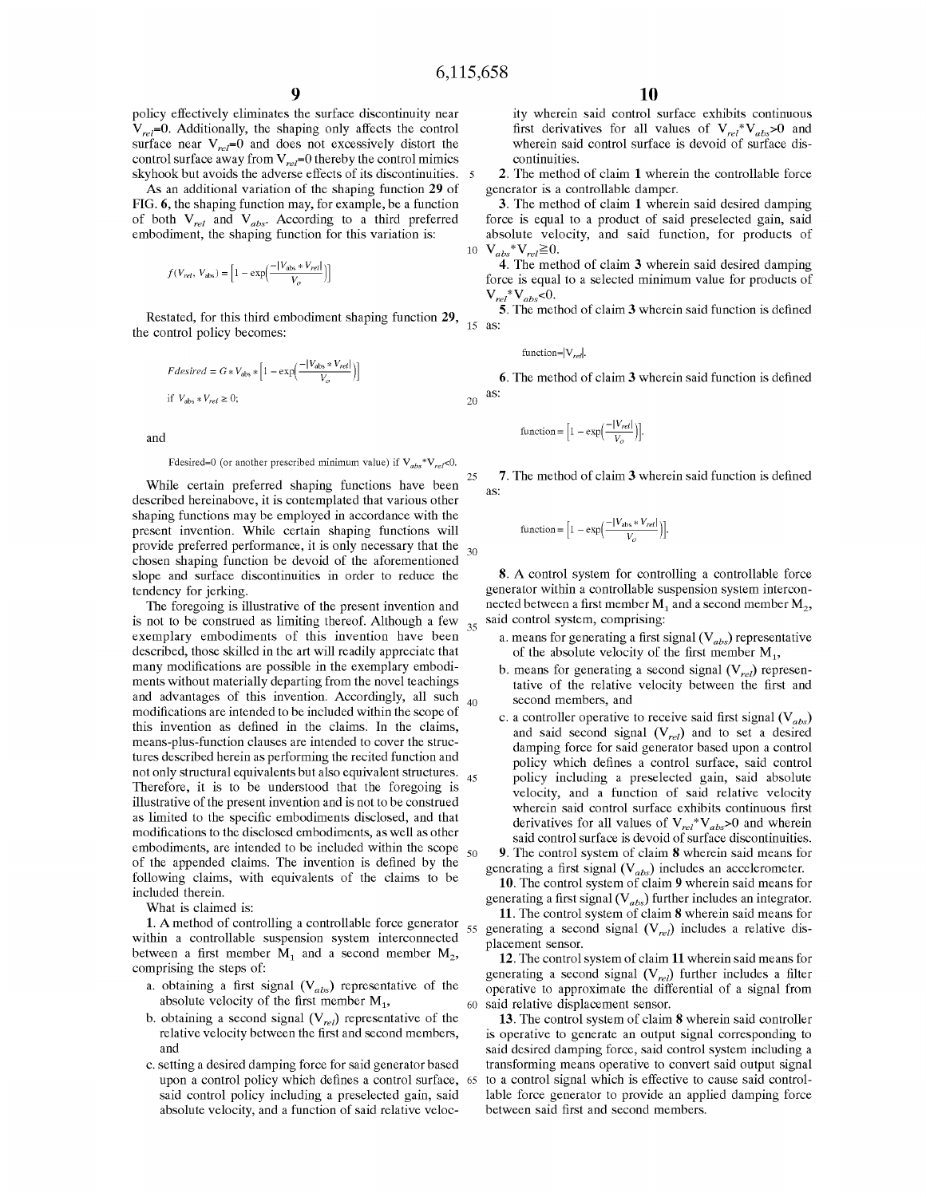$\overline{5}$ 

20

25

30

55

60

policy effectively eliminates the surface discontinuity near  $V_{rel}$ =0. Additionally, the shaping only affects the control surface near  $V_{rel}$ =0 and does not excessively distort the control surface away from  $V_{rel}$ =0 thereby the control mimics skyhook but avoids the adverse effects of its discontinuities.

As an additional variation of the shaping function 29 of FIG. 6, the shaping function may, for example, be a function of both  $V_{rel}$  and  $V_{abs}$ . According to a third preferred embodiment, the shaping function for this variation is:<br>  $f(V_{rel}, V_{abs}) = \left[1 - \exp\left(\frac{-|V_{abs} * V_{rel}|}{V_o}\right)\right]$ 

$$
f(V_{rel},\,V_{\rm abs})=\Bigl[1-\exp\Bigl(\frac{-|V_{\rm abs}*V_{rel}|}{V_o}\Bigr)\Bigr]
$$

Restated, for this third embodiment shaping function 29, the control policy becomes:

$$
Fdesired = G * V_{\text{abs}} * [1 - \exp\left(\frac{-|V_{\text{abs}} * V_{rel}|}{V_o}\right)]
$$
  
if  $V_{\text{abs}} * V_{rel} \ge 0$ ;

and

Fdesired=0 (or another prescribed minimum value) if  $V_{abs} * V_{rel} < 0$ .

While certain preferred shaping functions have been described hereinabove, it is contemplated that various other shaping functions may be employed in accordance with the present invention. While certain shaping functions will provide preferred performance, it is only necessary that the chosen shaping function be devoid of the aforementioned slope and surface discontinuities in order to reduce the tendency for jerking.

The foregoing is illustrative of the present invention and is not to be construed as limiting thereof. Although a few exemplary embodiments of this invention have been described, those skilled in the art will readily appreciate that many modifications are possible in the exemplary embodiments without materially departing from the novel teachings and advantages of this invention. Accordingly, all such modifications are intended to be included within the scope of this invention as defined in the claims. In the claims, means-plus-function clauses are intended to cover the structures described herein as performing the recited function and not only structural equivalents but also equivalent structures. Therefore, it is to be understood that the foregoing is illustrative of the present invention and is not to be construed as limited to the specific embodiments disclosed, and that modifications to the disclosed embodiments, as well as other embodiments, are intended to be included within the scope of the appended claims. The invention is defined by the following claims, with equivalents of the claims to be included therein. 35 40 50

What is claimed is:

1. A method of controlling <sup>a</sup> controllable force generator within a controllable suspension system interconnected between a first member  $M_1$  and a second member  $M_2$ , comprising the steps of:

- a. obtaining a first signal  $(V_{abs})$  representative of the absolute velocity of the first member  $M_1$ ,
- b. obtaining a second signal  $(V_{rel})$  representative of the relative velocity between the first and second members, and
- c. setting a desired damping force for said generator based upon a control policy which defines a control surface, said control policy including a preselected gain, said absolute velocity, and a function of said relative veloc-65

ity wherein said control surface exhibits continuous first derivatives for all values of  $V_{rel}^*V_{abs} > 0$  and wherein said control surface is devoid of surface discontinuities.

2. The method of claim 1 wherein the controllable force generator is a controllable damper.

10  $V_{abs}$ \* $V_{rel} \geq 0$ . 3. The method of claim 1 wherein said desired damping force is equal to a product of said preselected gain, said absolute velocity, and said function, for products of

4. The method of claim 3 wherein said desired damping force is equal to <sup>a</sup> selected minimum value for products of

15 as:  $V_{rel}^*V_{abs}$ <0.<br>5. The method of claim 3 wherein said function is defined

function=
$$
|V_{rel}|
$$
.

**6.** The method of claim **3** wherein said function is defined<br>function =  $\left[1 - \exp\left(-\frac{|V_{rel}|}{V_{rel}}\right)\right]$ . as:

$$
\text{function} = \Big[1 - \exp\Big(\frac{-|V_{rel}|}{V_o}\Big)\Big].
$$

7. The method of claim 3 wherein said function is defined as:

function = 
$$
\[1 - \exp\left(\frac{-|V_{\text{abs}} * V_{\text{rel}}|}{V_o}\right)\].
$$

8. A control system for controlling <sup>a</sup> controllable force generator within a controllable suspension system interconnected between a first member  $M_1$  and a second member  $M_2$ , said control system, comprising:

- a. means for generating a first signal  $(V_{abs})$  representative of the absolute velocity of the first member  $M_1$ ,
- b. means for generating a second signal  $(V_{rel})$  representative of the relative velocity between the first and second members, and
- c. a controller operative to receive said first signal  $(V_{abs})$ and said second signal  $(V_{rel})$  and to set a desired damping force for said generator based upon a control policy which defines a control surface, said control policy including a preselected gain, said absolute velocity, and a function of said relative velocity wherein said control surface exhibits continuous first derivatives for all values of  $V_{rel}$  \* $V_{abs}$ >0 and wherein said control surface is devoid of surface discontinuities. 9. The control system of claim 8 wherein said means for

generating a first signal  $(V_{abs})$  includes an accelerometer. 10. The control system of claim 9 wherein said means for

generating a first signal  $(V_{abs})$  further includes an integrator.

11. The control system of claim 8 wherein said means for generating a second signal  $(V_{rel})$  includes a relative displacement sensor.

12. The control system of claim 11 wherein said means for generating a second signal  $(V_{rel})$  further includes a filter operative to approximate the differential of a signal from said relative displacement sensor.

13. The control system of claim 8 wherein said controller is operative to generate an output signal corresponding to said desired damping force, said control system including a transforming means operative to convert said output signal to a control signal which is effective to cause said controllable force generator to provide an applied damping force between said first and second members.